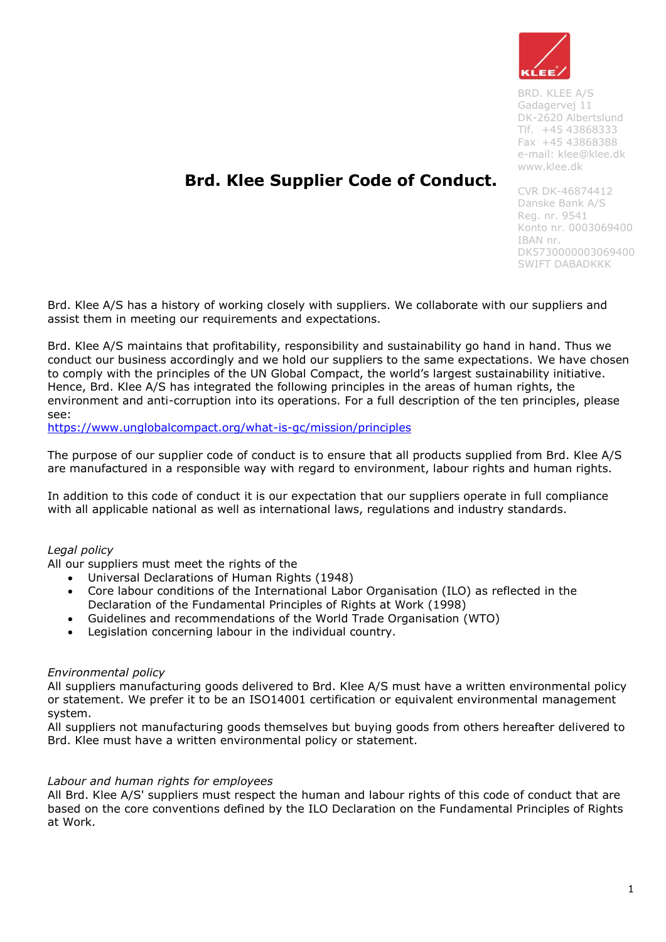

BRD. KLEE A/S Gadagervej 11 DK-2620 Albertslund Tlf. +45 43868333 Fax +45 43868388 e-mail: [klee@klee.dk](mailto:klee@klee.dk) [www.klee.dk](http://www.klee.dk/)

# **Brd. Klee Supplier Code of Conduct.**

CVR DK-46874412 Danske Bank A/S Reg. nr. 9541 Konto nr. 0003069400 IBAN nr. DK5730000003069400 SWIFT DABADKKK

Brd. Klee A/S has a history of working closely with suppliers. We collaborate with our suppliers and assist them in meeting our requirements and expectations.

Brd. Klee A/S maintains that profitability, responsibility and sustainability go hand in hand. Thus we conduct our business accordingly and we hold our suppliers to the same expectations. We have chosen to comply with the principles of the UN Global Compact, the world's largest sustainability initiative. Hence, Brd. Klee A/S has integrated the following principles in the areas of human rights, the environment and anti-corruption into its operations. For a full description of the ten principles, please see:

<https://www.unglobalcompact.org/what-is-gc/mission/principles>

The purpose of our supplier code of conduct is to ensure that all products supplied from Brd. Klee A/S are manufactured in a responsible way with regard to environment, labour rights and human rights.

In addition to this code of conduct it is our expectation that our suppliers operate in full compliance with all applicable national as well as international laws, regulations and industry standards.

# *Legal policy*

All our suppliers must meet the rights of the

- Universal Declarations of Human Rights (1948)
- Core labour conditions of the International Labor Organisation (ILO) as reflected in the Declaration of the Fundamental Principles of Rights at Work (1998)
- Guidelines and recommendations of the World Trade Organisation (WTO)
- Legislation concerning labour in the individual country.

#### *Environmental policy*

All suppliers manufacturing goods delivered to Brd. Klee A/S must have a written environmental policy or statement. We prefer it to be an ISO14001 certification or equivalent environmental management system.

All suppliers not manufacturing goods themselves but buying goods from others hereafter delivered to Brd. Klee must have a written environmental policy or statement.

#### *Labour and human rights for employees*

All Brd. Klee A/S' suppliers must respect the human and labour rights of this code of conduct that are based on the core conventions defined by the ILO Declaration on the Fundamental Principles of Rights at Work.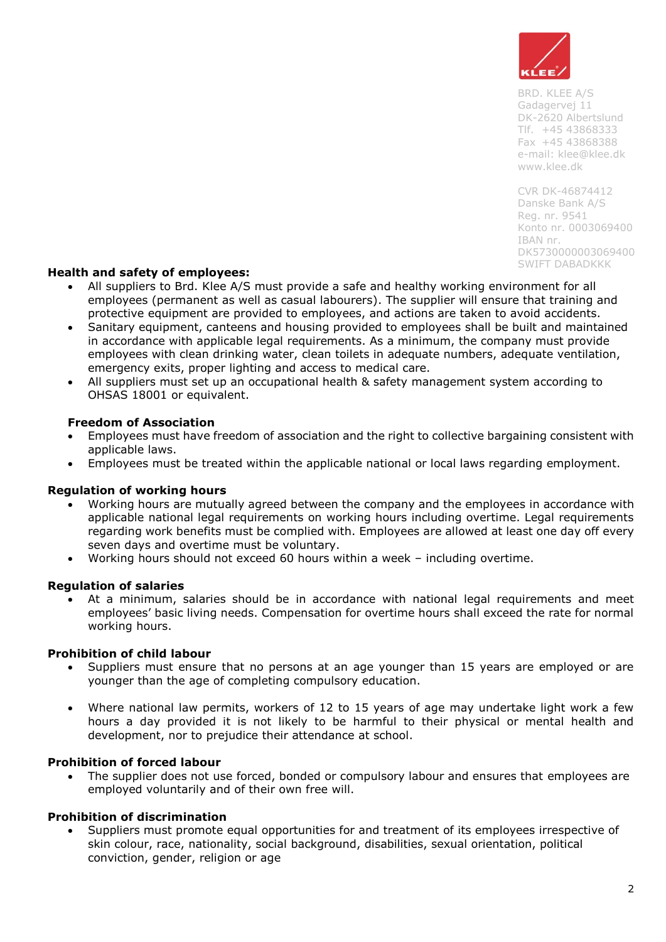

BRD. KLEE A/S Gadagervej 11 DK-2620 Albertslund Tlf. +45 43868333 Fax +45 43868388 e-mail: [klee@klee.dk](mailto:klee@klee.dk) [www.klee.dk](http://www.klee.dk/)

CVR DK-46874412 Danske Bank A/S Reg. nr. 9541 Konto nr. 0003069400 IBAN nr. DK5730000003069400 SWIFT DABADKKK

## **Health and safety of employees:**

- All suppliers to Brd. Klee A/S must provide a safe and healthy working environment for all employees (permanent as well as casual labourers). The supplier will ensure that training and protective equipment are provided to employees, and actions are taken to avoid accidents.
- Sanitary equipment, canteens and housing provided to employees shall be built and maintained in accordance with applicable legal requirements. As a minimum, the company must provide employees with clean drinking water, clean toilets in adequate numbers, adequate ventilation, emergency exits, proper lighting and access to medical care.
- All suppliers must set up an occupational health & safety management system according to OHSAS 18001 or equivalent.

## **Freedom of Association**

- Employees must have freedom of association and the right to collective bargaining consistent with applicable laws.
- Employees must be treated within the applicable national or local laws regarding employment.

#### **Regulation of working hours**

- Working hours are mutually agreed between the company and the employees in accordance with applicable national legal requirements on working hours including overtime. Legal requirements regarding work benefits must be complied with. Employees are allowed at least one day off every seven days and overtime must be voluntary.
- Working hours should not exceed 60 hours within a week including overtime.

#### **Regulation of salaries**

 At a minimum, salaries should be in accordance with national legal requirements and meet employees' basic living needs. Compensation for overtime hours shall exceed the rate for normal working hours.

#### **Prohibition of child labour**

- Suppliers must ensure that no persons at an age younger than 15 years are employed or are younger than the age of completing compulsory education.
- Where national law permits, workers of 12 to 15 years of age may undertake light work a few hours a day provided it is not likely to be harmful to their physical or mental health and development, nor to prejudice their attendance at school.

#### **Prohibition of forced labour**

 The supplier does not use forced, bonded or compulsory labour and ensures that employees are employed voluntarily and of their own free will.

#### **Prohibition of discrimination**

 Suppliers must promote equal opportunities for and treatment of its employees irrespective of skin colour, race, nationality, social background, disabilities, sexual orientation, political conviction, gender, religion or age